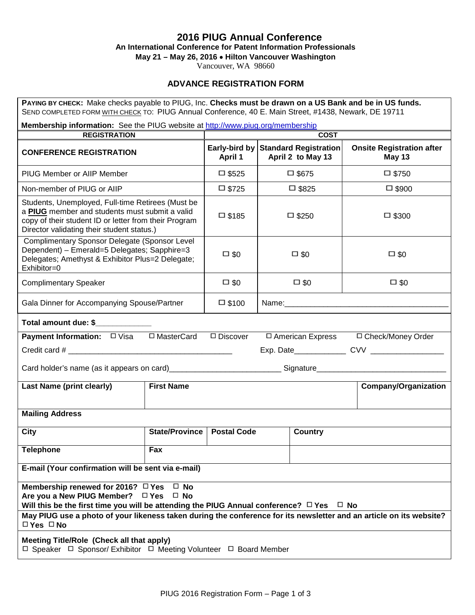# **2016 PIUG Annual Conference**

**An International Conference for Patent Information Professionals**

**May 21 – May 26, 2016** • **Hilton Vancouver Washington**

Vancouver, WA 98660

# **ADVANCE REGISTRATION FORM**

| PAYING BY CHECK: Make checks payable to PIUG, Inc. Checks must be drawn on a US Bank and be in US funds.<br>SEND COMPLETED FORM WITH CHECK TO: PIUG Annual Conference, 40 E. Main Street, #1438, Newark, DE 19711 |                       |                                           |                                                          |                                                   |  |  |  |
|-------------------------------------------------------------------------------------------------------------------------------------------------------------------------------------------------------------------|-----------------------|-------------------------------------------|----------------------------------------------------------|---------------------------------------------------|--|--|--|
| Membership information: See the PIUG website at http://www.piug.org/membership                                                                                                                                    |                       |                                           |                                                          |                                                   |  |  |  |
| <b>REGISTRATION</b>                                                                                                                                                                                               |                       | <b>COST</b>                               |                                                          |                                                   |  |  |  |
| <b>CONFERENCE REGISTRATION</b>                                                                                                                                                                                    |                       | <b>April 1</b>                            | Early-bird by Standard Registration<br>April 2 to May 13 | <b>Onsite Registration after</b><br><b>May 13</b> |  |  |  |
| PIUG Member or AllP Member                                                                                                                                                                                        |                       | $\square$ \$525                           | □ \$675                                                  | $\square$ \$750                                   |  |  |  |
| Non-member of PIUG or AIIP                                                                                                                                                                                        |                       | $\square$ \$725                           | $\square$ \$825                                          | $\square$ \$900                                   |  |  |  |
| Students, Unemployed, Full-time Retirees (Must be<br>a PIUG member and students must submit a valid<br>copy of their student ID or letter from their Program<br>Director validating their student status.)        |                       | $\square$ \$185                           | $\Box$ \$250                                             | $\square$ \$300                                   |  |  |  |
| Complimentary Sponsor Delegate (Sponsor Level<br>Dependent) - Emerald=5 Delegates; Sapphire=3<br>Delegates; Amethyst & Exhibitor Plus=2 Delegate;<br>Exhibitor=0                                                  |                       | $\square$ \$0                             | $\square$ \$0                                            | $\square$ \$0                                     |  |  |  |
| <b>Complimentary Speaker</b>                                                                                                                                                                                      |                       | $\square$ \$0                             | $\square$ \$0                                            | $\square$ \$0                                     |  |  |  |
| Gala Dinner for Accompanying Spouse/Partner                                                                                                                                                                       |                       | $\square$ \$100                           |                                                          | Name: Name:                                       |  |  |  |
| Total amount due: \$                                                                                                                                                                                              |                       |                                           |                                                          |                                                   |  |  |  |
| <b>Payment Information:</b> □ Visa □ MasterCard                                                                                                                                                                   | $\Box$ Discover       | □ American Express<br>□ Check/Money Order |                                                          |                                                   |  |  |  |
|                                                                                                                                                                                                                   |                       |                                           |                                                          |                                                   |  |  |  |
| Card holder's name (as it appears on card)_____________________________Signature______________________________                                                                                                    |                       |                                           |                                                          |                                                   |  |  |  |
| <b>First Name</b><br><b>Last Name (print clearly)</b>                                                                                                                                                             |                       |                                           |                                                          | <b>Company/Organization</b>                       |  |  |  |
| <b>Mailing Address</b>                                                                                                                                                                                            |                       |                                           |                                                          |                                                   |  |  |  |
| City                                                                                                                                                                                                              | <b>State/Province</b> | <b>Postal Code</b>                        | <b>Country</b>                                           |                                                   |  |  |  |
| <b>Telephone</b>                                                                                                                                                                                                  | Fax                   |                                           |                                                          |                                                   |  |  |  |
| E-mail (Your confirmation will be sent via e-mail)                                                                                                                                                                |                       |                                           |                                                          |                                                   |  |  |  |
| Membership renewed for 2016? $\Box$ Yes<br>$\Box$ No<br>Are you a New PIUG Member? □ Yes<br>$\Box$ No<br>Will this be the first time you will be attending the PIUG Annual conference? $\Box$ Yes $\Box$ No       |                       |                                           |                                                          |                                                   |  |  |  |
| May PIUG use a photo of your likeness taken during the conference for its newsletter and an article on its website?<br>$\Box$ Yes $\Box$ No                                                                       |                       |                                           |                                                          |                                                   |  |  |  |
| Meeting Title/Role (Check all that apply)<br>□ Speaker □ Sponsor/ Exhibitor □ Meeting Volunteer □ Board Member                                                                                                    |                       |                                           |                                                          |                                                   |  |  |  |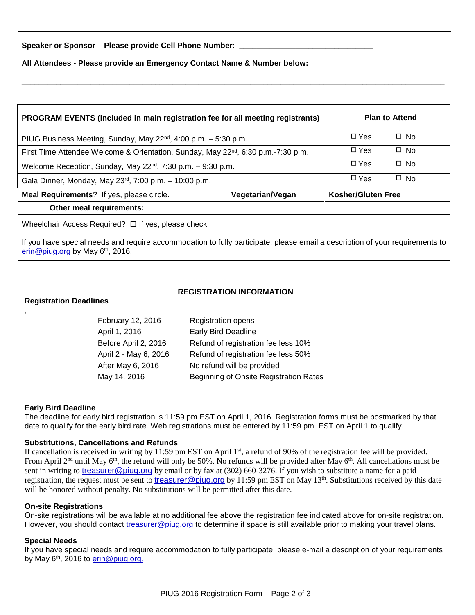Speaker or Sponsor - Please provide Cell Phone Number:

**All Attendees - Please provide an Emergency Contact Name & Number below:**

| PROGRAM EVENTS (Included in main registration fee for all meeting registrants)                |                  |  | <b>Plan to Attend</b>     |           |
|-----------------------------------------------------------------------------------------------|------------------|--|---------------------------|-----------|
| PIUG Business Meeting, Sunday, May 22 <sup>nd</sup> , 4:00 p.m. - 5:30 p.m.                   |                  |  | $\Box$ Yes                | $\Box$ No |
| First Time Attendee Welcome & Orientation, Sunday, May 22 <sup>nd</sup> , 6:30 p.m.-7:30 p.m. |                  |  | $\Box$ Yes                | $\Box$ No |
| Welcome Reception, Sunday, May 22 <sup>nd</sup> , 7:30 p.m. - 9:30 p.m.                       |                  |  | $\Box$ Yes                | $\Box$ No |
| Gala Dinner, Monday, May 23 <sup>rd</sup> , 7:00 p.m. - 10:00 p.m.                            |                  |  | $\Box$ Yes                | $\Box$ No |
| Meal Requirements? If yes, please circle.                                                     | Vegetarian/Vegan |  | <b>Kosher/Gluten Free</b> |           |
| Other meal requirements:                                                                      |                  |  |                           |           |
| Wheelchair Access Required? □ If yes, please check                                            |                  |  |                           |           |

**\_\_\_\_\_\_\_\_\_\_\_\_\_\_\_\_\_\_\_\_\_\_\_\_\_\_\_\_\_\_\_\_\_\_\_\_\_\_\_\_\_\_\_\_\_\_\_\_\_\_\_\_\_\_\_\_\_\_\_\_\_\_\_\_\_\_\_\_\_\_\_\_\_\_\_\_\_\_\_\_\_\_\_\_\_\_\_\_\_\_\_\_\_\_\_\_\_\_**

If you have special needs and require accommodation to fully participate, please email a description of your requirements to erin@piug.org by May 6<sup>th</sup>, 2016.

## **REGISTRATION INFORMATION**

#### **Registration Deadlines**

,

| February 12, 2016     | <b>Registration opens</b>              |
|-----------------------|----------------------------------------|
| April 1, 2016         | <b>Early Bird Deadline</b>             |
| Before April 2, 2016  | Refund of registration fee less 10%    |
| April 2 - May 6, 2016 | Refund of registration fee less 50%    |
| After May 6, 2016     | No refund will be provided             |
| May 14, 2016          | Beginning of Onsite Registration Rates |

#### **Early Bird Deadline**

The deadline for early bird registration is 11:59 pm EST on April 1, 2016. Registration forms must be postmarked by that date to qualify for the early bird rate. Web registrations must be entered by 11:59 pm EST on April 1 to qualify.

#### **Substitutions, Cancellations and Refunds**

If cancellation is received in writing by 11:59 pm EST on April  $1<sup>st</sup>$ , a refund of 90% of the registration fee will be provided. From April 2<sup>nd</sup> until May 6<sup>th</sup>, the refund will only be 50%. No refunds will be provided after May 6<sup>th</sup>. All cancellations must be sent in writing to treasurer@piug.org by email or by fax at (302) 660-3276. If you wish to substitute a name for a paid registration, the request must be sent to treasurer@piug.org by 11:59 pm EST on May  $13<sup>th</sup>$ . Substitutions received by this date will be honored without penalty. No substitutions will be permitted after this date.

#### **On-site Registrations**

On-site registrations will be available at no additional fee above the registration fee indicated above for on-site registration. However, you should contact treasurer@piug.org to determine if space is still available prior to making your travel plans.

#### **Special Needs**

If you have special needs and require accommodation to fully participate, please e-mail a description of your requirements by May 6<sup>th</sup>, 2016 to erin@piug.org.